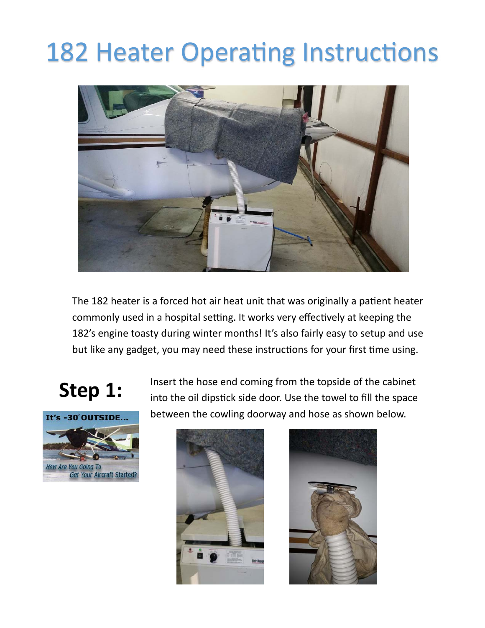## **182 Heater Operating Instructions**



The 182 heater is a forced hot air heat unit that was originally a patient heater commonly used in a hospital setting. It works very effectively at keeping the 182's engine toasty during winter months! It's also fairly easy to setup and use but like any gadget, you may need these instructions for your first time using.



**Step 1:** Insert the hose end coming from the topside of the cabinet into the oil dipstick side door. Use the towel to fill the space between the cowling doorway and hose as shown below.



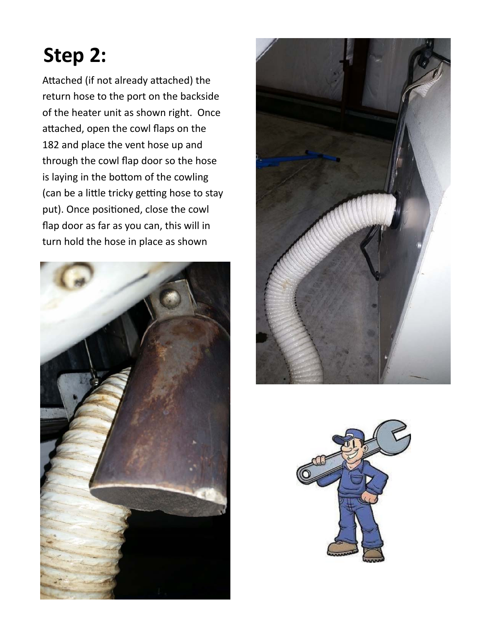## **Step 2:**

Attached (if not already attached) the return hose to the port on the backside of the heater unit as shown right. Once attached, open the cowl flaps on the 182 and place the vent hose up and through the cowl flap door so the hose is laying in the bottom of the cowling (can be a little tricky getting hose to stay put). Once positioned, close the cowl flap door as far as you can, this will in turn hold the hose in place as shown